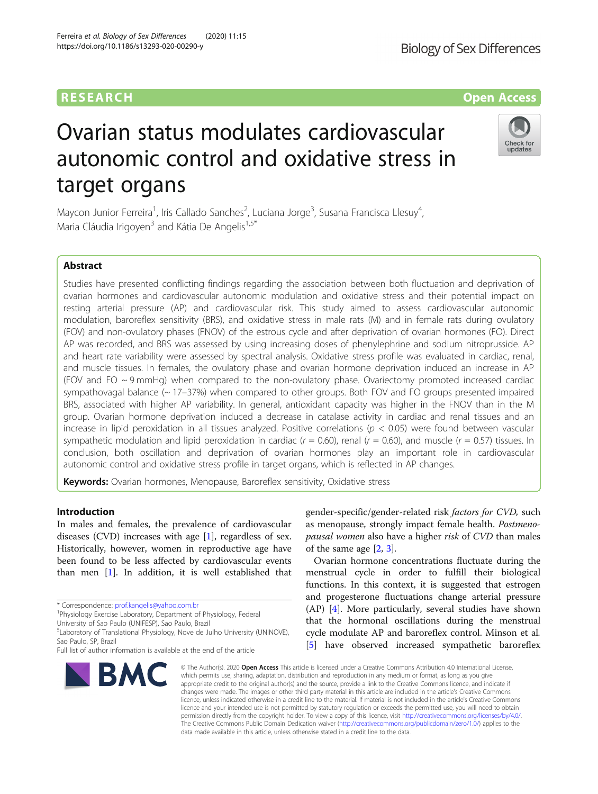# Ovarian status modulates cardiovascular autonomic control and oxidative stress in target organs

Maycon Junior Ferreira<sup>1</sup>, Iris Callado Sanches<sup>2</sup>, Luciana Jorge<sup>3</sup>, Susana Francisca Llesuy<sup>4</sup> , Maria Cláudia Irigoyen<sup>3</sup> and Kátia De Angelis<sup>1,5\*</sup>

# Abstract

Studies have presented conflicting findings regarding the association between both fluctuation and deprivation of ovarian hormones and cardiovascular autonomic modulation and oxidative stress and their potential impact on resting arterial pressure (AP) and cardiovascular risk. This study aimed to assess cardiovascular autonomic modulation, baroreflex sensitivity (BRS), and oxidative stress in male rats (M) and in female rats during ovulatory (FOV) and non-ovulatory phases (FNOV) of the estrous cycle and after deprivation of ovarian hormones (FO). Direct AP was recorded, and BRS was assessed by using increasing doses of phenylephrine and sodium nitroprusside. AP and heart rate variability were assessed by spectral analysis. Oxidative stress profile was evaluated in cardiac, renal, and muscle tissues. In females, the ovulatory phase and ovarian hormone deprivation induced an increase in AP (FOV and FO ~ 9 mmHg) when compared to the non-ovulatory phase. Ovariectomy promoted increased cardiac sympathovagal balance (~17-37%) when compared to other groups. Both FOV and FO groups presented impaired BRS, associated with higher AP variability. In general, antioxidant capacity was higher in the FNOV than in the M group. Ovarian hormone deprivation induced a decrease in catalase activity in cardiac and renal tissues and an increase in lipid peroxidation in all tissues analyzed. Positive correlations ( $p < 0.05$ ) were found between vascular sympathetic modulation and lipid peroxidation in cardiac ( $r = 0.60$ ), renal ( $r = 0.60$ ), and muscle ( $r = 0.57$ ) tissues. In conclusion, both oscillation and deprivation of ovarian hormones play an important role in cardiovascular autonomic control and oxidative stress profile in target organs, which is reflected in AP changes.

Keywords: Ovarian hormones, Menopause, Baroreflex sensitivity, Oxidative stress

# Introduction

In males and females, the prevalence of cardiovascular diseases (CVD) increases with age [[1\]](#page-8-0), regardless of sex. Historically, however, women in reproductive age have been found to be less affected by cardiovascular events than men [\[1](#page-8-0)]. In addition, it is well established that

\* Correspondence: [prof.kangelis@yahoo.com.br](mailto:prof.kangelis@yahoo.com.br) <sup>1</sup>

**BMC** 

<sup>1</sup>Physiology Exercise Laboratory, Department of Physiology, Federal

University of Sao Paulo (UNIFESP), Sao Paulo, Brazil

5 Laboratory of Translational Physiology, Nove de Julho University (UNINOVE), Sao Paulo, SP, Brazil

gender-specific/gender-related risk factors for CVD, such as menopause, strongly impact female health. Postmenopausal women also have a higher risk of CVD than males of the same age [[2,](#page-8-0) [3\]](#page-8-0). Ovarian hormone concentrations fluctuate during the

menstrual cycle in order to fulfill their biological functions. In this context, it is suggested that estrogen and progesterone fluctuations change arterial pressure (AP) [[4\]](#page-8-0). More particularly, several studies have shown that the hormonal oscillations during the menstrual cycle modulate AP and baroreflex control. Minson et al. [[5\]](#page-8-0) have observed increased sympathetic baroreflex

© The Author(s), 2020 **Open Access** This article is licensed under a Creative Commons Attribution 4.0 International License, which permits use, sharing, adaptation, distribution and reproduction in any medium or format, as long as you give appropriate credit to the original author(s) and the source, provide a link to the Creative Commons licence, and indicate if changes were made. The images or other third party material in this article are included in the article's Creative Commons licence, unless indicated otherwise in a credit line to the material. If material is not included in the article's Creative Commons licence and your intended use is not permitted by statutory regulation or exceeds the permitted use, you will need to obtain permission directly from the copyright holder. To view a copy of this licence, visit [http://creativecommons.org/licenses/by/4.0/.](http://creativecommons.org/licenses/by/4.0/) The Creative Commons Public Domain Dedication waiver [\(http://creativecommons.org/publicdomain/zero/1.0/](http://creativecommons.org/publicdomain/zero/1.0/)) applies to the data made available in this article, unless otherwise stated in a credit line to the data.

**RESEARCH CHE Open Access** 

# Ferreira et al. Biology of Sex Differences (2020) 11:15 https://doi.org/10.1186/s13293-020-00290-y





Full list of author information is available at the end of the article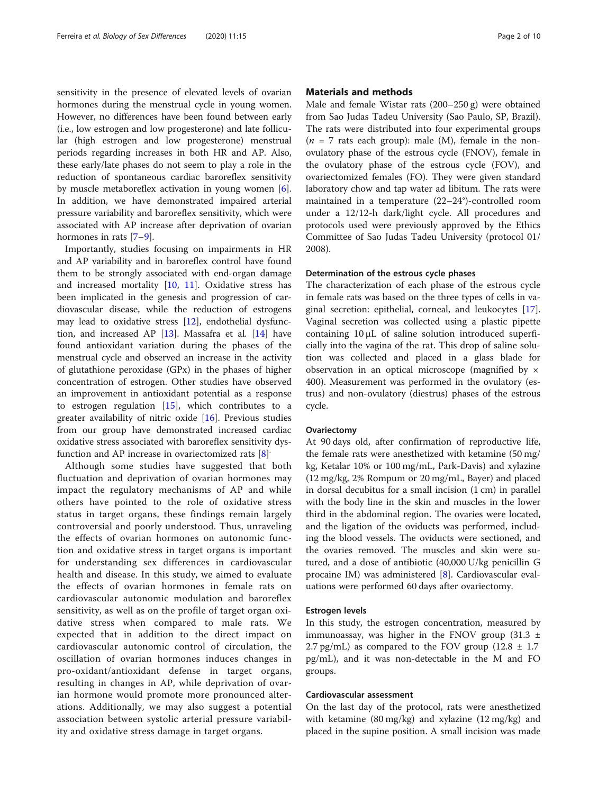sensitivity in the presence of elevated levels of ovarian hormones during the menstrual cycle in young women. However, no differences have been found between early (i.e., low estrogen and low progesterone) and late follicular (high estrogen and low progesterone) menstrual periods regarding increases in both HR and AP. Also, these early/late phases do not seem to play a role in the reduction of spontaneous cardiac baroreflex sensitivity by muscle metaboreflex activation in young women [\[6](#page-8-0)]. In addition, we have demonstrated impaired arterial pressure variability and baroreflex sensitivity, which were associated with AP increase after deprivation of ovarian hormones in rats [[7](#page-8-0)–[9](#page-8-0)].

Importantly, studies focusing on impairments in HR and AP variability and in baroreflex control have found them to be strongly associated with end-organ damage and increased mortality [[10](#page-8-0), [11\]](#page-8-0). Oxidative stress has been implicated in the genesis and progression of cardiovascular disease, while the reduction of estrogens may lead to oxidative stress [\[12](#page-8-0)], endothelial dysfunction, and increased AP [\[13](#page-8-0)]. Massafra et al. [\[14\]](#page-8-0) have found antioxidant variation during the phases of the menstrual cycle and observed an increase in the activity of glutathione peroxidase (GPx) in the phases of higher concentration of estrogen. Other studies have observed an improvement in antioxidant potential as a response to estrogen regulation  $[15]$  $[15]$ , which contributes to a greater availability of nitric oxide [\[16\]](#page-9-0). Previous studies from our group have demonstrated increased cardiac oxidative stress associated with baroreflex sensitivity dys-function and AP increase in ovariectomized rats [\[8](#page-8-0)]

Although some studies have suggested that both fluctuation and deprivation of ovarian hormones may impact the regulatory mechanisms of AP and while others have pointed to the role of oxidative stress status in target organs, these findings remain largely controversial and poorly understood. Thus, unraveling the effects of ovarian hormones on autonomic function and oxidative stress in target organs is important for understanding sex differences in cardiovascular health and disease. In this study, we aimed to evaluate the effects of ovarian hormones in female rats on cardiovascular autonomic modulation and baroreflex sensitivity, as well as on the profile of target organ oxidative stress when compared to male rats. We expected that in addition to the direct impact on cardiovascular autonomic control of circulation, the oscillation of ovarian hormones induces changes in pro-oxidant/antioxidant defense in target organs, resulting in changes in AP, while deprivation of ovarian hormone would promote more pronounced alterations. Additionally, we may also suggest a potential association between systolic arterial pressure variability and oxidative stress damage in target organs.

# Materials and methods

Male and female Wistar rats (200–250 g) were obtained from Sao Judas Tadeu University (Sao Paulo, SP, Brazil). The rats were distributed into four experimental groups  $(n = 7$  rats each group): male (M), female in the nonovulatory phase of the estrous cycle (FNOV), female in the ovulatory phase of the estrous cycle (FOV), and ovariectomized females (FO). They were given standard laboratory chow and tap water ad libitum. The rats were maintained in a temperature (22–24°)-controlled room under a 12/12-h dark/light cycle. All procedures and protocols used were previously approved by the Ethics Committee of Sao Judas Tadeu University (protocol 01/ 2008).

# Determination of the estrous cycle phases

The characterization of each phase of the estrous cycle in female rats was based on the three types of cells in vaginal secretion: epithelial, corneal, and leukocytes [\[17](#page-9-0)]. Vaginal secretion was collected using a plastic pipette containing 10 μL of saline solution introduced superficially into the vagina of the rat. This drop of saline solution was collected and placed in a glass blade for observation in an optical microscope (magnified by  $\times$ 400). Measurement was performed in the ovulatory (estrus) and non-ovulatory (diestrus) phases of the estrous cycle.

#### Ovariectomy

At 90 days old, after confirmation of reproductive life, the female rats were anesthetized with ketamine (50 mg/ kg, Ketalar 10% or 100 mg/mL, Park-Davis) and xylazine (12 mg/kg, 2% Rompum or 20 mg/mL, Bayer) and placed in dorsal decubitus for a small incision (1 cm) in parallel with the body line in the skin and muscles in the lower third in the abdominal region. The ovaries were located, and the ligation of the oviducts was performed, including the blood vessels. The oviducts were sectioned, and the ovaries removed. The muscles and skin were sutured, and a dose of antibiotic (40,000 U/kg penicillin G procaine IM) was administered [\[8\]](#page-8-0). Cardiovascular evaluations were performed 60 days after ovariectomy.

#### Estrogen levels

In this study, the estrogen concentration, measured by immunoassay, was higher in the FNOV group  $(31.3 \pm$ 2.7 pg/mL) as compared to the FOV group  $(12.8 \pm 1.7)$ pg/mL), and it was non-detectable in the M and FO groups.

# Cardiovascular assessment

On the last day of the protocol, rats were anesthetized with ketamine (80 mg/kg) and xylazine (12 mg/kg) and placed in the supine position. A small incision was made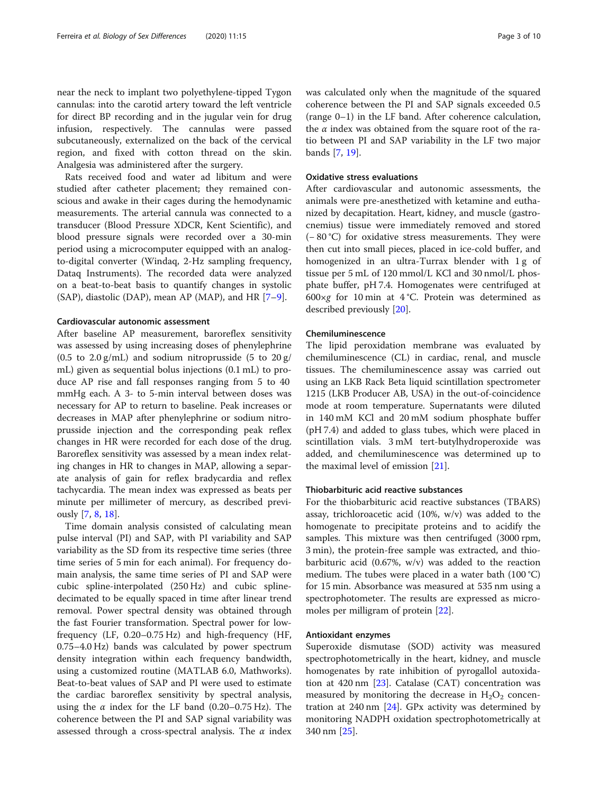near the neck to implant two polyethylene-tipped Tygon cannulas: into the carotid artery toward the left ventricle for direct BP recording and in the jugular vein for drug infusion, respectively. The cannulas were passed subcutaneously, externalized on the back of the cervical region, and fixed with cotton thread on the skin. Analgesia was administered after the surgery.

Rats received food and water ad libitum and were studied after catheter placement; they remained conscious and awake in their cages during the hemodynamic measurements. The arterial cannula was connected to a transducer (Blood Pressure XDCR, Kent Scientific), and blood pressure signals were recorded over a 30-min period using a microcomputer equipped with an analogto-digital converter (Windaq, 2-Hz sampling frequency, Dataq Instruments). The recorded data were analyzed on a beat-to-beat basis to quantify changes in systolic (SAP), diastolic (DAP), mean AP (MAP), and HR [[7](#page-8-0)–[9\]](#page-8-0).

# Cardiovascular autonomic assessment

After baseline AP measurement, baroreflex sensitivity was assessed by using increasing doses of phenylephrine (0.5 to 2.0 g/mL) and sodium nitroprusside (5 to 20 g/ mL) given as sequential bolus injections (0.1 mL) to produce AP rise and fall responses ranging from 5 to 40 mmHg each. A 3- to 5-min interval between doses was necessary for AP to return to baseline. Peak increases or decreases in MAP after phenylephrine or sodium nitroprusside injection and the corresponding peak reflex changes in HR were recorded for each dose of the drug. Baroreflex sensitivity was assessed by a mean index relating changes in HR to changes in MAP, allowing a separate analysis of gain for reflex bradycardia and reflex tachycardia. The mean index was expressed as beats per minute per millimeter of mercury, as described previously [[7,](#page-8-0) [8,](#page-8-0) [18\]](#page-9-0).

Time domain analysis consisted of calculating mean pulse interval (PI) and SAP, with PI variability and SAP variability as the SD from its respective time series (three time series of 5 min for each animal). For frequency domain analysis, the same time series of PI and SAP were cubic spline-interpolated (250 Hz) and cubic splinedecimated to be equally spaced in time after linear trend removal. Power spectral density was obtained through the fast Fourier transformation. Spectral power for lowfrequency (LF, 0.20–0.75 Hz) and high-frequency (HF, 0.75–4.0 Hz) bands was calculated by power spectrum density integration within each frequency bandwidth, using a customized routine (MATLAB 6.0, Mathworks). Beat-to-beat values of SAP and PI were used to estimate the cardiac baroreflex sensitivity by spectral analysis, using the  $\alpha$  index for the LF band (0.20–0.75 Hz). The coherence between the PI and SAP signal variability was assessed through a cross-spectral analysis. The  $\alpha$  index was calculated only when the magnitude of the squared coherence between the PI and SAP signals exceeded 0.5 (range 0–1) in the LF band. After coherence calculation, the  $\alpha$  index was obtained from the square root of the ratio between PI and SAP variability in the LF two major bands [[7,](#page-8-0) [19\]](#page-9-0).

# Oxidative stress evaluations

After cardiovascular and autonomic assessments, the animals were pre-anesthetized with ketamine and euthanized by decapitation. Heart, kidney, and muscle (gastrocnemius) tissue were immediately removed and stored (− 80 °C) for oxidative stress measurements. They were then cut into small pieces, placed in ice-cold buffer, and homogenized in an ultra-Turrax blender with 1 g of tissue per 5 mL of 120 mmol/L KCl and 30 nmol/L phosphate buffer, pH 7.4. Homogenates were centrifuged at 600 $\times$ g for 10 min at 4 °C. Protein was determined as described previously [\[20\]](#page-9-0).

# Chemiluminescence

The lipid peroxidation membrane was evaluated by chemiluminescence (CL) in cardiac, renal, and muscle tissues. The chemiluminescence assay was carried out using an LKB Rack Beta liquid scintillation spectrometer 1215 (LKB Producer AB, USA) in the out-of-coincidence mode at room temperature. Supernatants were diluted in 140 mM KCl and 20 mM sodium phosphate buffer (pH 7.4) and added to glass tubes, which were placed in scintillation vials. 3 mM tert-butylhydroperoxide was added, and chemiluminescence was determined up to the maximal level of emission [[21\]](#page-9-0).

# Thiobarbituric acid reactive substances

For the thiobarbituric acid reactive substances (TBARS) assay, trichloroacetic acid (10%, w/v) was added to the homogenate to precipitate proteins and to acidify the samples. This mixture was then centrifuged (3000 rpm, 3 min), the protein-free sample was extracted, and thiobarbituric acid  $(0.67\% , w/v)$  was added to the reaction medium. The tubes were placed in a water bath (100 °C) for 15 min. Absorbance was measured at 535 nm using a spectrophotometer. The results are expressed as micromoles per milligram of protein [[22\]](#page-9-0).

# Antioxidant enzymes

Superoxide dismutase (SOD) activity was measured spectrophotometrically in the heart, kidney, and muscle homogenates by rate inhibition of pyrogallol autoxidation at 420 nm [[23](#page-9-0)]. Catalase (CAT) concentration was measured by monitoring the decrease in  $H_2O_2$  concentration at 240 nm  $[24]$  $[24]$ . GPx activity was determined by monitoring NADPH oxidation spectrophotometrically at 340 nm [\[25\]](#page-9-0).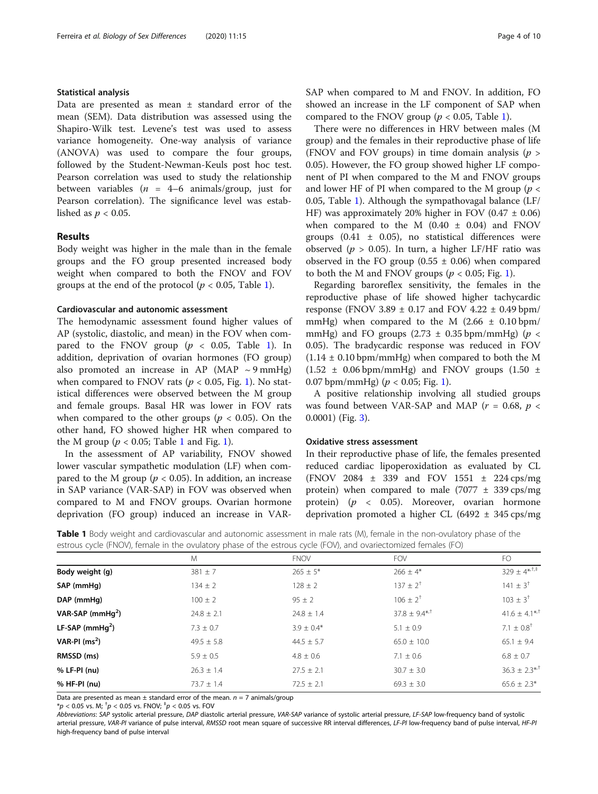#### Statistical analysis

Data are presented as mean ± standard error of the mean (SEM). Data distribution was assessed using the Shapiro-Wilk test. Levene's test was used to assess variance homogeneity. One-way analysis of variance (ANOVA) was used to compare the four groups, followed by the Student-Newman-Keuls post hoc test. Pearson correlation was used to study the relationship between variables ( $n = 4-6$  animals/group, just for Pearson correlation). The significance level was established as  $p < 0.05$ .

# Results

Body weight was higher in the male than in the female groups and the FO group presented increased body weight when compared to both the FNOV and FOV groups at the end of the protocol ( $p < 0.05$ , Table 1).

#### Cardiovascular and autonomic assessment

The hemodynamic assessment found higher values of AP (systolic, diastolic, and mean) in the FOV when compared to the FNOV group ( $p < 0.05$ , Table 1). In addition, deprivation of ovarian hormones (FO group) also promoted an increase in AP (MAP  $\sim$  9 mmHg) when compared to FNOV rats ( $p < 0.05$ , Fig. [1\)](#page-4-0). No statistical differences were observed between the M group and female groups. Basal HR was lower in FOV rats when compared to the other groups ( $p < 0.05$ ). On the other hand, FO showed higher HR when compared to the M group ( $p < 0.05$ ; Table [1](#page-4-0) and Fig. 1).

In the assessment of AP variability, FNOV showed lower vascular sympathetic modulation (LF) when compared to the M group ( $p < 0.05$ ). In addition, an increase in SAP variance (VAR-SAP) in FOV was observed when compared to M and FNOV groups. Ovarian hormone deprivation (FO group) induced an increase in VAR- SAP when compared to M and FNOV. In addition, FO showed an increase in the LF component of SAP when compared to the FNOV group ( $p < 0.05$ , Table 1).

There were no differences in HRV between males (M group) and the females in their reproductive phase of life (FNOV and FOV groups) in time domain analysis  $(p >$ 0.05). However, the FO group showed higher LF component of PI when compared to the M and FNOV groups and lower HF of PI when compared to the M group ( $p <$ 0.05, Table 1). Although the sympathovagal balance (LF/ HF) was approximately 20% higher in FOV (0.47  $\pm$  0.06) when compared to the M  $(0.40 \pm 0.04)$  and FNOV groups  $(0.41 \pm 0.05)$ , no statistical differences were observed ( $p > 0.05$ ). In turn, a higher LF/HF ratio was observed in the FO group  $(0.55 \pm 0.06)$  when compared to both the M and FNOV groups ( $p < 0.05$ ; Fig. [1\)](#page-4-0).

Regarding baroreflex sensitivity, the females in the reproductive phase of life showed higher tachycardic response (FNOV 3.89  $\pm$  0.17 and FOV 4.22  $\pm$  0.49 bpm/ mmHg) when compared to the M  $(2.66 \pm 0.10 \text{ bpm}/$ mmHg) and FO groups  $(2.73 \pm 0.35 \text{ bpm/mmHg})$  ( $p \le$ 0.05). The bradycardic response was reduced in FOV  $(1.14 \pm 0.10 \text{ bpm/mmHg})$  when compared to both the M  $(1.52 \pm 0.06 bpm/mmHg)$  and FNOV groups  $(1.50 \pm 1.56)$ 0.07 bpm/mmHg) ( $p < 0.05$ ; Fig. [1](#page-4-0)).

A positive relationship involving all studied groups was found between VAR-SAP and MAP ( $r = 0.68$ ,  $p <$ 0.0001) (Fig. [3](#page-5-0)).

#### Oxidative stress assessment

In their reproductive phase of life, the females presented reduced cardiac lipoperoxidation as evaluated by CL (FNOV 2084 ± 339 and FOV 1551 ± 224 cps/mg protein) when compared to male  $(7077 \pm 339 \text{ cps/mg})$ protein) ( $p \sim 0.05$ ). Moreover, ovarian hormone deprivation promoted a higher CL (6492  $\pm$  345 cps/mg

Table 1 Body weight and cardiovascular and autonomic assessment in male rats (M), female in the non-ovulatory phase of the estrous cycle (FNOV), female in the ovulatory phase of the estrous cycle (FOV), and ovariectomized females (FO)

| estrous cycle (FNOV), leftiale in the ovulatory phase of the estrous cycle (FOV), and ovanectomized leftiales (FO) |                |                |                               |                               |
|--------------------------------------------------------------------------------------------------------------------|----------------|----------------|-------------------------------|-------------------------------|
|                                                                                                                    | M              | <b>FNOV</b>    | <b>FOV</b>                    | FO.                           |
| Body weight (g)                                                                                                    | $381 \pm 7$    | $265 \pm 5*$   | $266 \pm 4*$                  | $329 \pm 4^{*,+}$             |
| SAP (mmHg)                                                                                                         | $134 \pm 2$    | $128 \pm 2$    | $137 \pm 2^{+}$               | $141 \pm 3^{+}$               |
| DAP (mmHg)                                                                                                         | $100 \pm 2$    | $95 \pm 2$     | $106 \pm 2^{+}$               | $103 \pm 3^{+}$               |
| VAR-SAP ( $mmHg2$ )                                                                                                | $24.8 \pm 2.1$ | $24.8 \pm 1.4$ | $37.8 \pm 9.4$ <sup>*/†</sup> | $41.6 \pm 4.1$ <sup>*/+</sup> |
| $LF-SAP$ (mmHg <sup>2</sup> )                                                                                      | $7.3 \pm 0.7$  | $3.9 \pm 0.4*$ | $5.1 \pm 0.9$                 | 7.1 $\pm$ 0.8 <sup>†</sup>    |
| VAR-PI $(ms^2)$                                                                                                    | $49.5 \pm 5.8$ | $44.5 \pm 5.7$ | $65.0 \pm 10.0$               | $65.1 \pm 9.4$                |
| RMSSD (ms)                                                                                                         | $5.9 \pm 0.5$  | $4.8 \pm 0.6$  | $7.1 \pm 0.6$                 | $6.8 \pm 0.7$                 |
| % LF-PI (nu)                                                                                                       | $26.3 \pm 1.4$ | $27.5 \pm 2.1$ | $30.7 \pm 3.0$                | $36.3 \pm 2.3$ <sup>*/+</sup> |
| % HF-PI (nu)                                                                                                       | $73.7 \pm 1.4$ | $72.5 \pm 2.1$ | $69.3 \pm 3.0$                | $65.6 \pm 2.3*$               |

Data are presented as mean  $\pm$  standard error of the mean.  $n = 7$  animals/group

 $*p < 0.05$  vs. M;  $^{\dagger}p < 0.05$  vs. FNOV;  $^{\dagger}p < 0.05$  vs. FOV<br>Abbreviations: SAP systolic arterial pressure, DAP diast

Abbreviations: SAP systolic arterial pressure, DAP diastolic arterial pressure, VAR-SAP variance of systolic arterial pressure, LF-SAP low-frequency band of systolic arterial pressure, VAR-PI variance of pulse interval, RMSSD root mean square of successive RR interval differences, LF-PI low-frequency band of pulse interval, HF-PI high-frequency band of pulse interval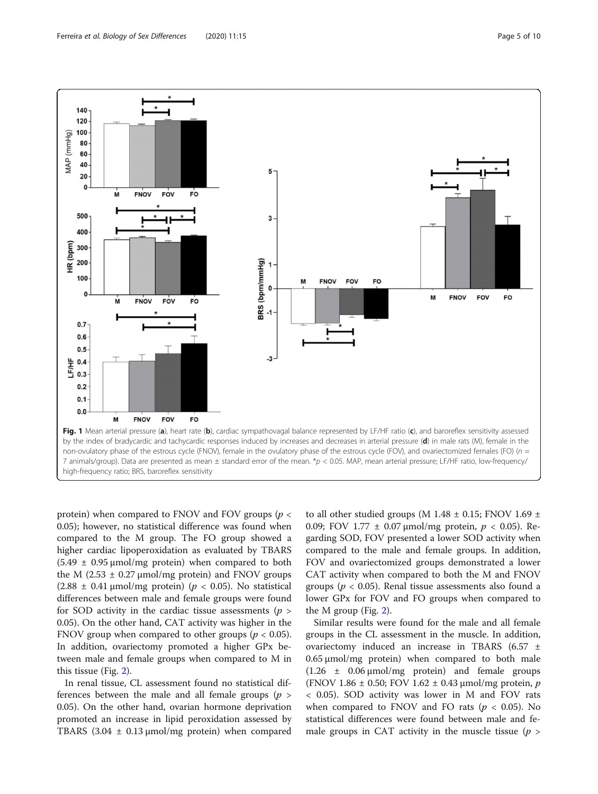<span id="page-4-0"></span>

protein) when compared to FNOV and FOV groups ( $p <$ 0.05); however, no statistical difference was found when compared to the M group. The FO group showed a higher cardiac lipoperoxidation as evaluated by TBARS  $(5.49 \pm 0.95 \,\mu\text{mol/mg}$  protein) when compared to both the M (2.53  $\pm$  0.27 µmol/mg protein) and FNOV groups  $(2.88 \pm 0.41 \,\mu\text{mol/mg protein})$  ( $p < 0.05$ ). No statistical differences between male and female groups were found for SOD activity in the cardiac tissue assessments ( $p >$ 0.05). On the other hand, CAT activity was higher in the FNOV group when compared to other groups ( $p < 0.05$ ). In addition, ovariectomy promoted a higher GPx between male and female groups when compared to M in this tissue (Fig. [2\)](#page-5-0).

In renal tissue, CL assessment found no statistical differences between the male and all female groups ( $p >$ 0.05). On the other hand, ovarian hormone deprivation promoted an increase in lipid peroxidation assessed by TBARS  $(3.04 \pm 0.13 \,\mu\text{mol/mg}$  protein) when compared

to all other studied groups (M 1.48  $\pm$  0.15; FNOV 1.69  $\pm$ 0.09; FOV 1.77  $\pm$  0.07 µmol/mg protein,  $p < 0.05$ ). Regarding SOD, FOV presented a lower SOD activity when compared to the male and female groups. In addition, FOV and ovariectomized groups demonstrated a lower CAT activity when compared to both the M and FNOV groups ( $p < 0.05$ ). Renal tissue assessments also found a lower GPx for FOV and FO groups when compared to the M group (Fig. [2](#page-5-0)).

Similar results were found for the male and all female groups in the CL assessment in the muscle. In addition, ovariectomy induced an increase in TBARS (6.57 ±  $0.65 \mu$ mol/mg protein) when compared to both male  $(1.26 \pm 0.06 \,\mu\text{mol/mg}$  protein) and female groups (FNOV 1.86  $\pm$  0.50; FOV 1.62  $\pm$  0.43 µmol/mg protein, p < 0.05). SOD activity was lower in M and FOV rats when compared to FNOV and FO rats ( $p < 0.05$ ). No statistical differences were found between male and female groups in CAT activity in the muscle tissue  $(p >$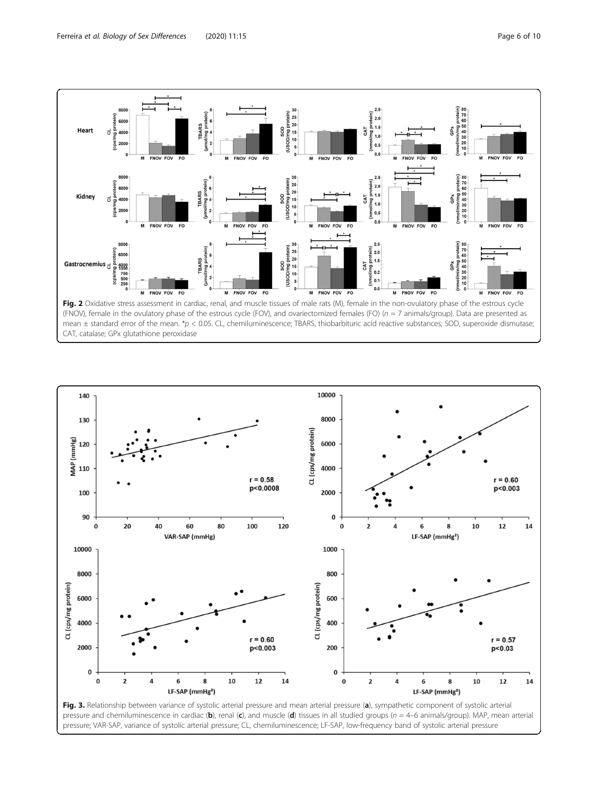<span id="page-5-0"></span>



Fig. 3. Relationship between variance of systolic arterial pressure and mean arterial pressure (a), sympathetic component of systolic arterial pressure and chemiluminescence in cardiac (b), renal (c), and muscle (d) tissues in all studied groups ( $n = 4-6$  animals/group). MAP, mean arterial pressure; VAR-SAP, variance of systolic arterial pressure; CL, chemiluminescence; LF-SAP, low-frequency band of systolic arterial pressure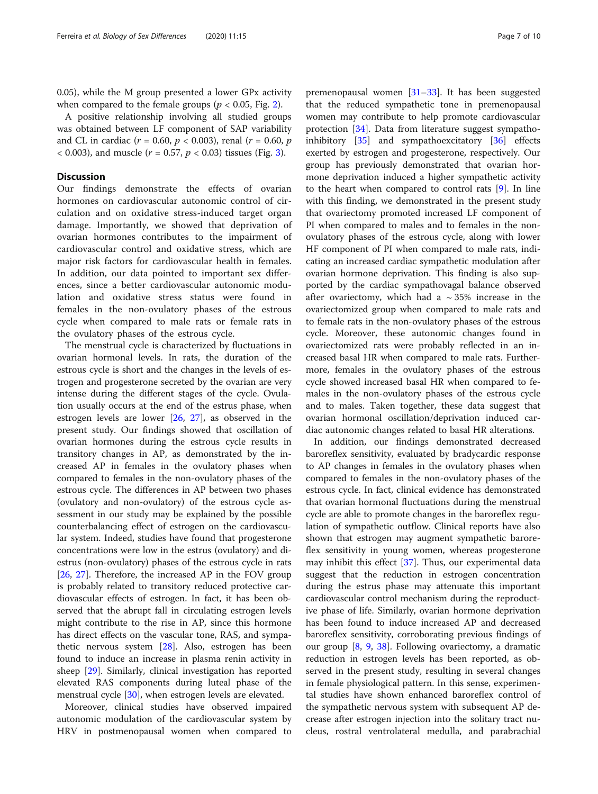0.05), while the M group presented a lower GPx activity when compared to the female groups ( $p < 0.05$ , Fig. [2](#page-5-0)).

A positive relationship involving all studied groups was obtained between LF component of SAP variability and CL in cardiac ( $r = 0.60$ ,  $p < 0.003$ ), renal ( $r = 0.60$ ,  $p$  $(6.0003)$  $(6.0003)$  $(6.0003)$ , and muscle ( $r = 0.57$ ,  $p < 0.03$ ) tissues (Fig. 3).

#### **Discussion**

Our findings demonstrate the effects of ovarian hormones on cardiovascular autonomic control of circulation and on oxidative stress-induced target organ damage. Importantly, we showed that deprivation of ovarian hormones contributes to the impairment of cardiovascular control and oxidative stress, which are major risk factors for cardiovascular health in females. In addition, our data pointed to important sex differences, since a better cardiovascular autonomic modulation and oxidative stress status were found in females in the non-ovulatory phases of the estrous cycle when compared to male rats or female rats in the ovulatory phases of the estrous cycle.

The menstrual cycle is characterized by fluctuations in ovarian hormonal levels. In rats, the duration of the estrous cycle is short and the changes in the levels of estrogen and progesterone secreted by the ovarian are very intense during the different stages of the cycle. Ovulation usually occurs at the end of the estrus phase, when estrogen levels are lower [\[26](#page-9-0), [27](#page-9-0)], as observed in the present study. Our findings showed that oscillation of ovarian hormones during the estrous cycle results in transitory changes in AP, as demonstrated by the increased AP in females in the ovulatory phases when compared to females in the non-ovulatory phases of the estrous cycle. The differences in AP between two phases (ovulatory and non-ovulatory) of the estrous cycle assessment in our study may be explained by the possible counterbalancing effect of estrogen on the cardiovascular system. Indeed, studies have found that progesterone concentrations were low in the estrus (ovulatory) and diestrus (non-ovulatory) phases of the estrous cycle in rats [[26,](#page-9-0) [27](#page-9-0)]. Therefore, the increased AP in the FOV group is probably related to transitory reduced protective cardiovascular effects of estrogen. In fact, it has been observed that the abrupt fall in circulating estrogen levels might contribute to the rise in AP, since this hormone has direct effects on the vascular tone, RAS, and sympathetic nervous system [[28\]](#page-9-0). Also, estrogen has been found to induce an increase in plasma renin activity in sheep [\[29](#page-9-0)]. Similarly, clinical investigation has reported elevated RAS components during luteal phase of the menstrual cycle [[30\]](#page-9-0), when estrogen levels are elevated.

Moreover, clinical studies have observed impaired autonomic modulation of the cardiovascular system by HRV in postmenopausal women when compared to

premenopausal women [[31](#page-9-0)–[33](#page-9-0)]. It has been suggested that the reduced sympathetic tone in premenopausal women may contribute to help promote cardiovascular protection [\[34\]](#page-9-0). Data from literature suggest sympathoinhibitory [[35\]](#page-9-0) and sympathoexcitatory [\[36](#page-9-0)] effects exerted by estrogen and progesterone, respectively. Our group has previously demonstrated that ovarian hormone deprivation induced a higher sympathetic activity to the heart when compared to control rats [[9\]](#page-8-0). In line with this finding, we demonstrated in the present study that ovariectomy promoted increased LF component of PI when compared to males and to females in the nonovulatory phases of the estrous cycle, along with lower HF component of PI when compared to male rats, indicating an increased cardiac sympathetic modulation after ovarian hormone deprivation. This finding is also supported by the cardiac sympathovagal balance observed after ovariectomy, which had a  $\sim$  35% increase in the ovariectomized group when compared to male rats and to female rats in the non-ovulatory phases of the estrous cycle. Moreover, these autonomic changes found in ovariectomized rats were probably reflected in an increased basal HR when compared to male rats. Furthermore, females in the ovulatory phases of the estrous cycle showed increased basal HR when compared to females in the non-ovulatory phases of the estrous cycle and to males. Taken together, these data suggest that ovarian hormonal oscillation/deprivation induced cardiac autonomic changes related to basal HR alterations.

In addition, our findings demonstrated decreased baroreflex sensitivity, evaluated by bradycardic response to AP changes in females in the ovulatory phases when compared to females in the non-ovulatory phases of the estrous cycle. In fact, clinical evidence has demonstrated that ovarian hormonal fluctuations during the menstrual cycle are able to promote changes in the baroreflex regulation of sympathetic outflow. Clinical reports have also shown that estrogen may augment sympathetic baroreflex sensitivity in young women, whereas progesterone may inhibit this effect [\[37\]](#page-9-0). Thus, our experimental data suggest that the reduction in estrogen concentration during the estrus phase may attenuate this important cardiovascular control mechanism during the reproductive phase of life. Similarly, ovarian hormone deprivation has been found to induce increased AP and decreased baroreflex sensitivity, corroborating previous findings of our group [[8,](#page-8-0) [9,](#page-8-0) [38](#page-9-0)]. Following ovariectomy, a dramatic reduction in estrogen levels has been reported, as observed in the present study, resulting in several changes in female physiological pattern. In this sense, experimental studies have shown enhanced baroreflex control of the sympathetic nervous system with subsequent AP decrease after estrogen injection into the solitary tract nucleus, rostral ventrolateral medulla, and parabrachial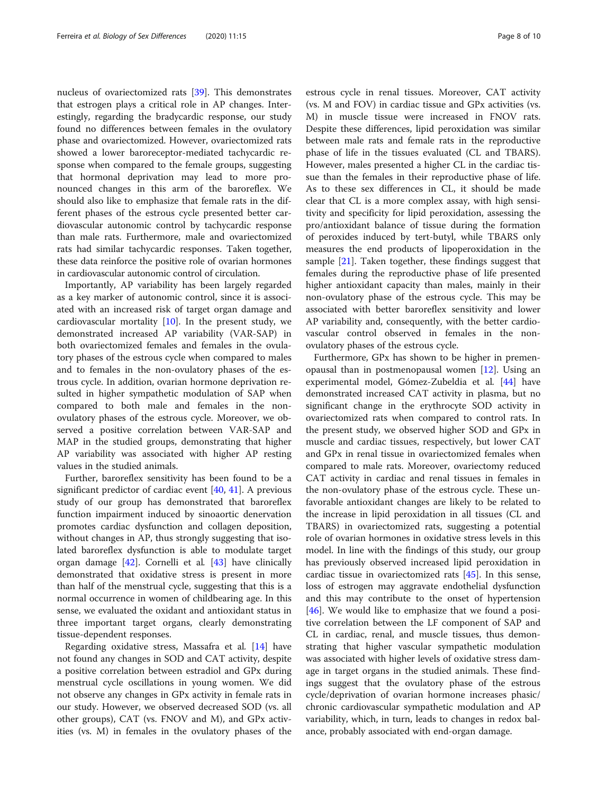nucleus of ovariectomized rats [[39](#page-9-0)]. This demonstrates that estrogen plays a critical role in AP changes. Interestingly, regarding the bradycardic response, our study found no differences between females in the ovulatory phase and ovariectomized. However, ovariectomized rats showed a lower baroreceptor-mediated tachycardic response when compared to the female groups, suggesting that hormonal deprivation may lead to more pronounced changes in this arm of the baroreflex. We should also like to emphasize that female rats in the different phases of the estrous cycle presented better cardiovascular autonomic control by tachycardic response than male rats. Furthermore, male and ovariectomized rats had similar tachycardic responses. Taken together, these data reinforce the positive role of ovarian hormones in cardiovascular autonomic control of circulation.

Importantly, AP variability has been largely regarded as a key marker of autonomic control, since it is associated with an increased risk of target organ damage and cardiovascular mortality  $[10]$  $[10]$ . In the present study, we demonstrated increased AP variability (VAR-SAP) in both ovariectomized females and females in the ovulatory phases of the estrous cycle when compared to males and to females in the non-ovulatory phases of the estrous cycle. In addition, ovarian hormone deprivation resulted in higher sympathetic modulation of SAP when compared to both male and females in the nonovulatory phases of the estrous cycle. Moreover, we observed a positive correlation between VAR-SAP and MAP in the studied groups, demonstrating that higher AP variability was associated with higher AP resting values in the studied animals.

Further, baroreflex sensitivity has been found to be a significant predictor of cardiac event [[40,](#page-9-0) [41\]](#page-9-0). A previous study of our group has demonstrated that baroreflex function impairment induced by sinoaortic denervation promotes cardiac dysfunction and collagen deposition, without changes in AP, thus strongly suggesting that isolated baroreflex dysfunction is able to modulate target organ damage [[42](#page-9-0)]. Cornelli et al. [[43\]](#page-9-0) have clinically demonstrated that oxidative stress is present in more than half of the menstrual cycle, suggesting that this is a normal occurrence in women of childbearing age. In this sense, we evaluated the oxidant and antioxidant status in three important target organs, clearly demonstrating tissue-dependent responses.

Regarding oxidative stress, Massafra et al. [[14\]](#page-8-0) have not found any changes in SOD and CAT activity, despite a positive correlation between estradiol and GPx during menstrual cycle oscillations in young women. We did not observe any changes in GPx activity in female rats in our study. However, we observed decreased SOD (vs. all other groups), CAT (vs. FNOV and M), and GPx activities (vs. M) in females in the ovulatory phases of the estrous cycle in renal tissues. Moreover, CAT activity (vs. M and FOV) in cardiac tissue and GPx activities (vs. M) in muscle tissue were increased in FNOV rats. Despite these differences, lipid peroxidation was similar between male rats and female rats in the reproductive phase of life in the tissues evaluated (CL and TBARS). However, males presented a higher CL in the cardiac tissue than the females in their reproductive phase of life. As to these sex differences in CL, it should be made clear that CL is a more complex assay, with high sensitivity and specificity for lipid peroxidation, assessing the pro/antioxidant balance of tissue during the formation of peroxides induced by tert-butyl, while TBARS only measures the end products of lipoperoxidation in the sample  $[21]$ . Taken together, these findings suggest that females during the reproductive phase of life presented higher antioxidant capacity than males, mainly in their non-ovulatory phase of the estrous cycle. This may be associated with better baroreflex sensitivity and lower AP variability and, consequently, with the better cardiovascular control observed in females in the nonovulatory phases of the estrous cycle.

Furthermore, GPx has shown to be higher in premenopausal than in postmenopausal women [[12\]](#page-8-0). Using an experimental model, Gómez-Zubeldia et al. [\[44](#page-9-0)] have demonstrated increased CAT activity in plasma, but no significant change in the erythrocyte SOD activity in ovariectomized rats when compared to control rats. In the present study, we observed higher SOD and GPx in muscle and cardiac tissues, respectively, but lower CAT and GPx in renal tissue in ovariectomized females when compared to male rats. Moreover, ovariectomy reduced CAT activity in cardiac and renal tissues in females in the non-ovulatory phase of the estrous cycle. These unfavorable antioxidant changes are likely to be related to the increase in lipid peroxidation in all tissues (CL and TBARS) in ovariectomized rats, suggesting a potential role of ovarian hormones in oxidative stress levels in this model. In line with the findings of this study, our group has previously observed increased lipid peroxidation in cardiac tissue in ovariectomized rats [\[45](#page-9-0)]. In this sense, loss of estrogen may aggravate endothelial dysfunction and this may contribute to the onset of hypertension [[46\]](#page-9-0). We would like to emphasize that we found a positive correlation between the LF component of SAP and CL in cardiac, renal, and muscle tissues, thus demonstrating that higher vascular sympathetic modulation was associated with higher levels of oxidative stress damage in target organs in the studied animals. These findings suggest that the ovulatory phase of the estrous cycle/deprivation of ovarian hormone increases phasic/ chronic cardiovascular sympathetic modulation and AP variability, which, in turn, leads to changes in redox balance, probably associated with end-organ damage.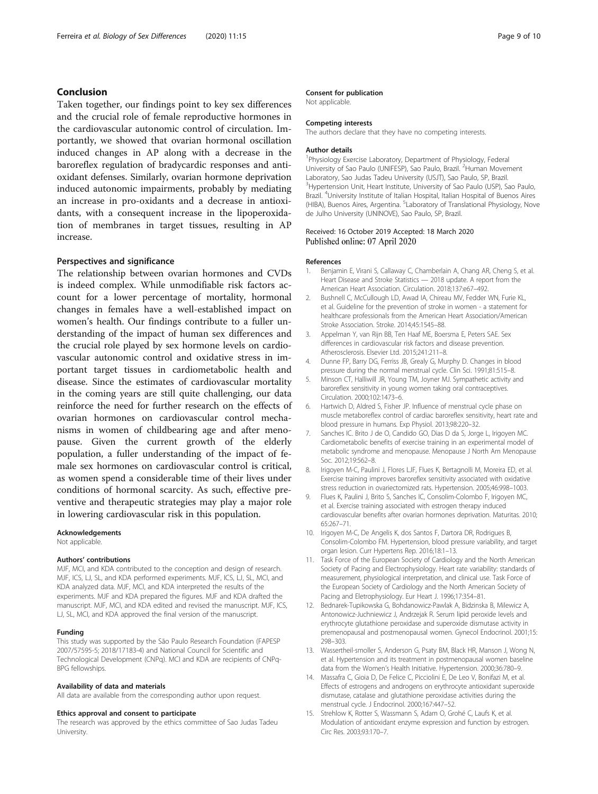# <span id="page-8-0"></span>Conclusion

Taken together, our findings point to key sex differences and the crucial role of female reproductive hormones in the cardiovascular autonomic control of circulation. Importantly, we showed that ovarian hormonal oscillation induced changes in AP along with a decrease in the baroreflex regulation of bradycardic responses and antioxidant defenses. Similarly, ovarian hormone deprivation induced autonomic impairments, probably by mediating an increase in pro-oxidants and a decrease in antioxidants, with a consequent increase in the lipoperoxidation of membranes in target tissues, resulting in AP increase.

# Perspectives and significance

The relationship between ovarian hormones and CVDs is indeed complex. While unmodifiable risk factors account for a lower percentage of mortality, hormonal changes in females have a well-established impact on women's health. Our findings contribute to a fuller understanding of the impact of human sex differences and the crucial role played by sex hormone levels on cardiovascular autonomic control and oxidative stress in important target tissues in cardiometabolic health and disease. Since the estimates of cardiovascular mortality in the coming years are still quite challenging, our data reinforce the need for further research on the effects of ovarian hormones on cardiovascular control mechanisms in women of childbearing age and after menopause. Given the current growth of the elderly population, a fuller understanding of the impact of female sex hormones on cardiovascular control is critical, as women spend a considerable time of their lives under conditions of hormonal scarcity. As such, effective preventive and therapeutic strategies may play a major role in lowering cardiovascular risk in this population.

#### Acknowledgements

Not applicable.

#### Authors' contributions

MJF, MCI, and KDA contributed to the conception and design of research. MJF, ICS, LJ, SL, and KDA performed experiments. MJF, ICS, LJ, SL, MCI, and KDA analyzed data. MJF, MCI, and KDA interpreted the results of the experiments. MJF and KDA prepared the figures. MJF and KDA drafted the manuscript. MJF, MCI, and KDA edited and revised the manuscript. MJF, ICS, LJ, SL, MCI, and KDA approved the final version of the manuscript.

#### Funding

This study was supported by the São Paulo Research Foundation (FAPESP 2007/57595-5; 2018/17183-4) and National Council for Scientific and Technological Development (CNPq). MCI and KDA are recipients of CNPq-BPG fellowships.

#### Availability of data and materials

All data are available from the corresponding author upon request.

#### Ethics approval and consent to participate

The research was approved by the ethics committee of Sao Judas Tadeu University.

#### Consent for publication

Not applicable.

#### Competing interests

The authors declare that they have no competing interests.

#### Author details

<sup>1</sup>Physiology Exercise Laboratory, Department of Physiology, Federal University of Sao Paulo (UNIFESP), Sao Paulo, Brazil. <sup>2</sup>Human Movement Laboratory, Sao Judas Tadeu University (USJT), Sao Paulo, SP, Brazil. <sup>3</sup> Hypertension Unit, Heart Institute, University of Sao Paulo (USP), Sao Paulo, Brazil. <sup>4</sup>University Institute of Italian Hospital, Italian Hospital of Buenos Aires (HIBA), Buenos Aires, Argentina. <sup>5</sup>Laboratory of Translational Physiology, Nove de Julho University (UNINOVE), Sao Paulo, SP, Brazil.

#### Received: 16 October 2019 Accepted: 18 March 2020 Published online: 07 April 2020

#### References

- 1. Benjamin E, Virani S, Callaway C, Chamberlain A, Chang AR, Cheng S, et al. Heart Disease and Stroke Statistics — 2018 update. A report from the American Heart Association. Circulation. 2018;137:e67–492.
- 2. Bushnell C, McCullough LD, Awad IA, Chireau MV, Fedder WN, Furie KL, et al. Guideline for the prevention of stroke in women - a statement for healthcare professionals from the American Heart Association/American Stroke Association. Stroke. 2014;45:1545–88.
- 3. Appelman Y, van Rijn BB, Ten Haaf ME, Boersma E, Peters SAE. Sex differences in cardiovascular risk factors and disease prevention. Atherosclerosis. Elsevier Ltd. 2015;241:211–8.
- 4. Dunne FP, Barry DG, Ferriss JB, Grealy G, Murphy D. Changes in blood pressure during the normal menstrual cycle. Clin Sci. 1991;81:515–8.
- 5. Minson CT, Halliwill JR, Young TM, Joyner MJ. Sympathetic activity and baroreflex sensitivity in young women taking oral contraceptives. Circulation. 2000;102:1473–6.
- 6. Hartwich D, Aldred S, Fisher JP. Influence of menstrual cycle phase on muscle metaboreflex control of cardiac baroreflex sensitivity, heart rate and blood pressure in humans. Exp Physiol. 2013;98:220–32.
- 7. Sanches IC. Brito J de O, Candido GO, Dias D da S, Jorge L, Irigoyen MC. Cardiometabolic benefits of exercise training in an experimental model of metabolic syndrome and menopause. Menopause J North Am Menopause Soc. 2012;19:562–8.
- 8. Irigoyen M-C, Paulini J, Flores LJF, Flues K, Bertagnolli M, Moreira ED, et al. Exercise training improves baroreflex sensitivity associated with oxidative stress reduction in ovariectomized rats. Hypertension. 2005;46:998–1003.
- 9. Flues K, Paulini J, Brito S, Sanches IC, Consolim-Colombo F, Irigoyen MC, et al. Exercise training associated with estrogen therapy induced cardiovascular benefits after ovarian hormones deprivation. Maturitas. 2010; 65:267–71.
- 10. Irigoyen M-C, De Angelis K, dos Santos F, Dartora DR, Rodrigues B, Consolim-Colombo FM. Hypertension, blood pressure variability, and target organ lesion. Curr Hypertens Rep. 2016;18:1–13.
- 11. Task Force of the European Society of Cardiology and the North American Society of Pacing and Electrophysiology. Heart rate variability: standards of measurement, physiological interpretation, and clinical use. Task Force of the European Society of Cardiology and the North American Society of Pacing and Eletrophysiology. Eur Heart J. 1996;17:354–81.
- 12. Bednarek-Tupikowska G, Bohdanowicz-Pawlak A, Bidzinska B, Milewicz A, Antonowicz-Juchniewicz J, Andrzejak R. Serum lipid peroxide levels and erythrocyte glutathione peroxidase and superoxide dismutase activity in premenopausal and postmenopausal women. Gynecol Endocrinol. 2001;15: 298–303.
- 13. Wassertheil-smoller S, Anderson G, Psaty BM, Black HR, Manson J, Wong N, et al. Hypertension and its treatment in postmenopausal women baseline data from the Women's Health Initiative. Hypertension. 2000;36:780–9.
- 14. Massafra C, Gioia D, De Felice C, Picciolini E, De Leo V, Bonifazi M, et al. Effects of estrogens and androgens on erythrocyte antioxidant superoxide dismutase, catalase and glutathione peroxidase activities during the menstrual cycle. J Endocrinol. 2000;167:447–52.
- 15. Strehlow K, Rotter S, Wassmann S, Adam O, Grohé C, Laufs K, et al. Modulation of antioxidant enzyme expression and function by estrogen. Circ Res. 2003;93:170–7.